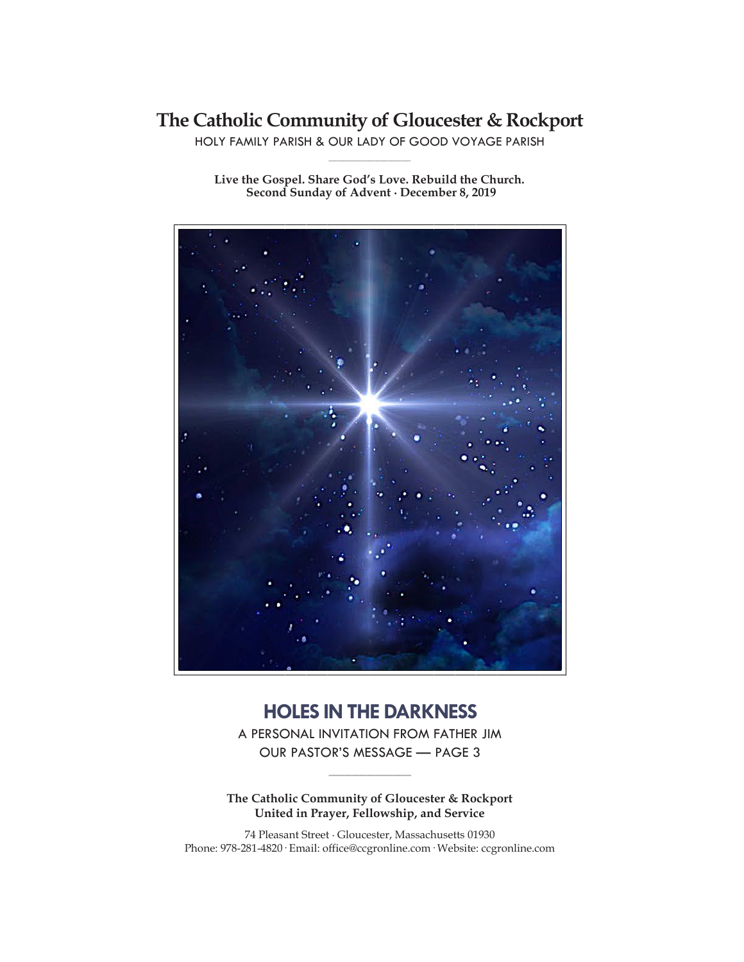# **The Catholic Community of Gloucester & Rockport**

HOLY FAMILY PARISH & OUR LADY OF GOOD VOYAGE PARISH **\_\_\_\_\_\_\_\_\_\_\_\_\_\_\_\_\_\_\_\_\_\_\_\_\_\_\_\_\_**

**Live the Gospel. Share God's Love. Rebuild the Church. Second Sunday of Advent ∙ December 8, 2019**



## **HOLES IN THE DARKNESS**

A PERSONAL INVITATION FROM FATHER JIM OUR PASTOR'S MESSAGE — PAGE 3

**\_\_\_\_\_\_\_\_\_\_\_\_\_\_\_\_\_\_\_\_\_\_\_\_\_\_\_\_\_**

**The Catholic Community of Gloucester & Rockport United in Prayer, Fellowship, and Service**

74 Pleasant Street ∙ Gloucester, Massachusetts 01930 Phone: 978-281-4820· Email: office@ccgronline.com· Website: ccgronline.com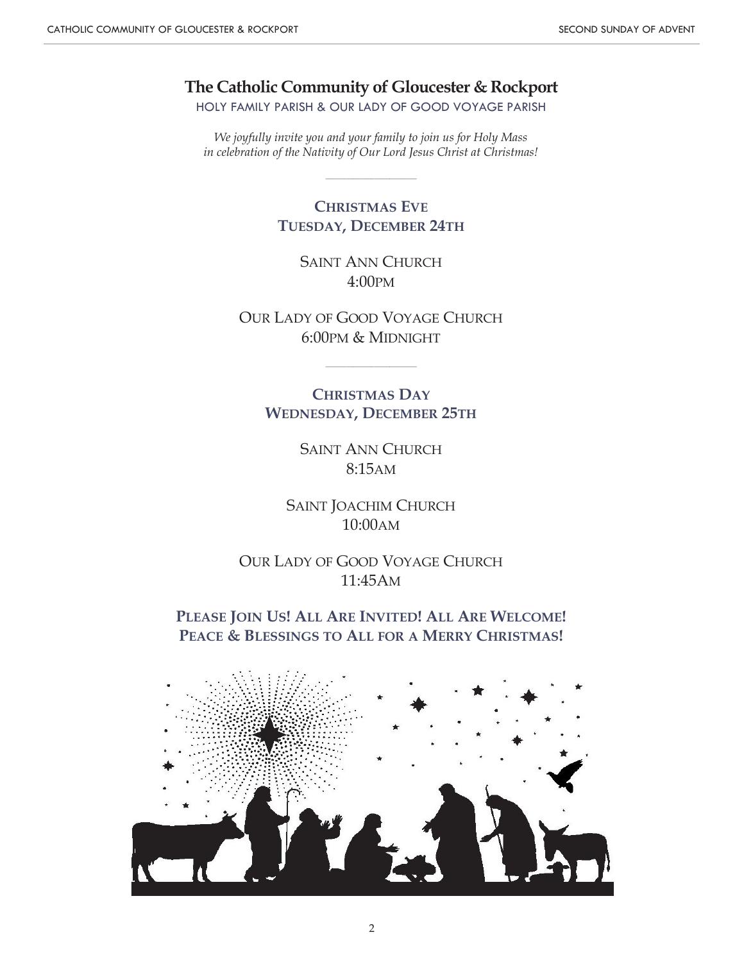**The Catholic Community of Gloucester & Rockport**

HOLY FAMILY PARISH & OUR LADY OF GOOD VOYAGE PARISH

*We joyfully invite you and your family to join us for Holy Mass in celebration of the Nativity of Our Lord Jesus Christ at Christmas!*

\_\_\_\_\_\_\_\_\_\_\_\_\_\_\_\_\_\_\_\_\_\_\_\_\_\_\_\_\_\_

## **CHRISTMAS EVE TUESDAY, DECEMBER 24TH**

SAINT ANN CHURCH 4:00PM

OUR LADY OF GOOD VOYAGE CHURCH 6:00PM & MIDNIGHT

\_\_\_\_\_\_\_\_\_\_\_\_\_\_\_\_\_\_\_\_\_\_\_\_\_\_\_\_\_\_

**CHRISTMAS DAY WEDNESDAY, DECEMBER 25TH**

> SAINT ANN CHURCH 8:15AM

SAINT JOACHIM CHURCH 10:00AM

OUR LADY OF GOOD VOYAGE CHURCH 11:45AM

**PLEASE JOIN US! ALL ARE INVITED! ALL ARE WELCOME! PEACE & BLESSINGS TO ALL FOR A MERRY CHRISTMAS!**

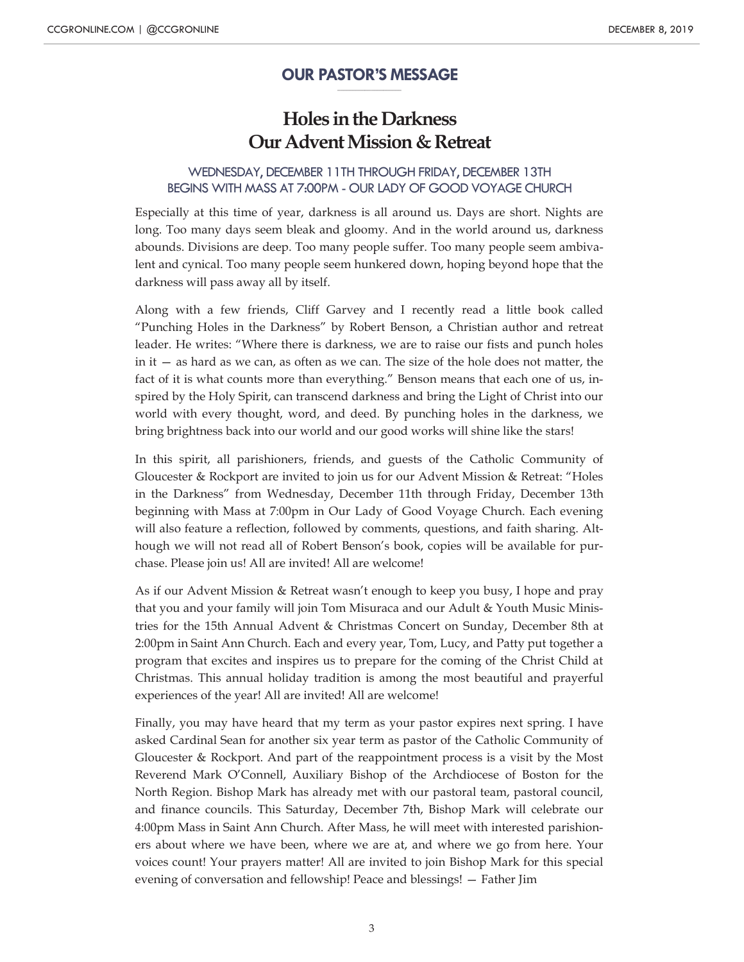#### **OUR PASTOR'S MESSAGE \_\_\_\_\_\_\_\_\_\_\_\_\_\_\_\_\_\_\_\_\_**

## **Holes in the Darkness Our Advent Mission & Retreat**

### WEDNESDAY, DECEMBER 11TH THROUGH FRIDAY, DECEMBER 13TH BEGINS WITH MASS AT 7:00PM - OUR LADY OF GOOD VOYAGE CHURCH

Especially at this time of year, darkness is all around us. Days are short. Nights are long. Too many days seem bleak and gloomy. And in the world around us, darkness abounds. Divisions are deep. Too many people suffer. Too many people seem ambivalent and cynical. Too many people seem hunkered down, hoping beyond hope that the darkness will pass away all by itself.

Along with a few friends, Cliff Garvey and I recently read a little book called "Punching Holes in the Darkness" by Robert Benson, a Christian author and retreat leader. He writes: "Where there is darkness, we are to raise our fists and punch holes in it — as hard as we can, as often as we can. The size of the hole does not matter, the fact of it is what counts more than everything." Benson means that each one of us, inspired by the Holy Spirit, can transcend darkness and bring the Light of Christ into our world with every thought, word, and deed. By punching holes in the darkness, we bring brightness back into our world and our good works will shine like the stars!

In this spirit, all parishioners, friends, and guests of the Catholic Community of Gloucester & Rockport are invited to join us for our Advent Mission & Retreat: "Holes in the Darkness" from Wednesday, December 11th through Friday, December 13th beginning with Mass at 7:00pm in Our Lady of Good Voyage Church. Each evening will also feature a reflection, followed by comments, questions, and faith sharing. Although we will not read all of Robert Benson's book, copies will be available for purchase. Please join us! All are invited! All are welcome!

As if our Advent Mission & Retreat wasn't enough to keep you busy, I hope and pray that you and your family will join Tom Misuraca and our Adult & Youth Music Ministries for the 15th Annual Advent & Christmas Concert on Sunday, December 8th at 2:00pm in Saint Ann Church. Each and every year, Tom, Lucy, and Patty put together a program that excites and inspires us to prepare for the coming of the Christ Child at Christmas. This annual holiday tradition is among the most beautiful and prayerful experiences of the year! All are invited! All are welcome!

Finally, you may have heard that my term as your pastor expires next spring. I have asked Cardinal Sean for another six year term as pastor of the Catholic Community of Gloucester & Rockport. And part of the reappointment process is a visit by the Most Reverend Mark O'Connell, Auxiliary Bishop of the Archdiocese of Boston for the North Region. Bishop Mark has already met with our pastoral team, pastoral council, and finance councils. This Saturday, December 7th, Bishop Mark will celebrate our 4:00pm Mass in Saint Ann Church. After Mass, he will meet with interested parishioners about where we have been, where we are at, and where we go from here. Your voices count! Your prayers matter! All are invited to join Bishop Mark for this special evening of conversation and fellowship! Peace and blessings! — Father Jim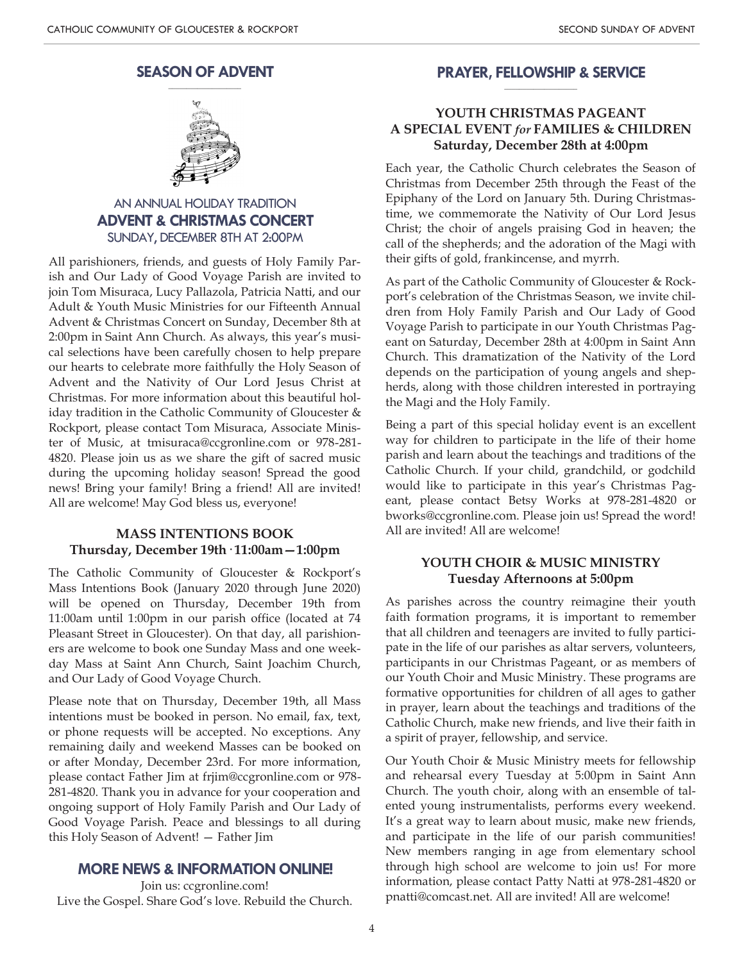#### **SEASON OF ADVENT \_\_\_\_\_\_\_\_\_\_\_\_\_\_\_\_\_\_\_\_**



### AN ANNUAL HOLIDAY TRADITION **ADVENT & CHRISTMAS CONCERT** SUNDAY, DECEMBER 8TH AT 2:00PM

All parishioners, friends, and guests of Holy Family Parish and Our Lady of Good Voyage Parish are invited to join Tom Misuraca, Lucy Pallazola, Patricia Natti, and our Adult & Youth Music Ministries for our Fifteenth Annual Advent & Christmas Concert on Sunday, December 8th at 2:00pm in Saint Ann Church. As always, this year's musical selections have been carefully chosen to help prepare our hearts to celebrate more faithfully the Holy Season of Advent and the Nativity of Our Lord Jesus Christ at Christmas. For more information about this beautiful holiday tradition in the Catholic Community of Gloucester & Rockport, please contact Tom Misuraca, Associate Minister of Music, at tmisuraca@ccgronline.com or 978-281- 4820. Please join us as we share the gift of sacred music during the upcoming holiday season! Spread the good news! Bring your family! Bring a friend! All are invited! All are welcome! May God bless us, everyone!

### **MASS INTENTIONS BOOK Thursday, December 19th· 11:00am—1:00pm**

The Catholic Community of Gloucester & Rockport's Mass Intentions Book (January 2020 through June 2020) will be opened on Thursday, December 19th from 11:00am until 1:00pm in our parish office (located at 74 Pleasant Street in Gloucester). On that day, all parishioners are welcome to book one Sunday Mass and one weekday Mass at Saint Ann Church, Saint Joachim Church, and Our Lady of Good Voyage Church.

Please note that on Thursday, December 19th, all Mass intentions must be booked in person. No email, fax, text, or phone requests will be accepted. No exceptions. Any remaining daily and weekend Masses can be booked on or after Monday, December 23rd. For more information, please contact Father Jim at frjim@ccgronline.com or 978- 281-4820. Thank you in advance for your cooperation and ongoing support of Holy Family Parish and Our Lady of Good Voyage Parish. Peace and blessings to all during this Holy Season of Advent! — Father Jim

### **MORENEWS& INFORMATION ONLINE!**

Join us: ccgronline.com! Live the Gospel. Share God's love. Rebuild the Church.

#### **PRAYER, FELLOWSHIP & SERVICE \_\_\_\_\_\_\_\_\_\_\_\_\_\_\_\_\_\_\_\_**

### **YOUTH CHRISTMAS PAGEANT A SPECIAL EVENT** *for* **FAMILIES & CHILDREN Saturday, December 28th at 4:00pm**

Each year, the Catholic Church celebrates the Season of Christmas from December 25th through the Feast of the Epiphany of the Lord on January 5th. During Christmastime, we commemorate the Nativity of Our Lord Jesus Christ; the choir of angels praising God in heaven; the call of the shepherds; and the adoration of the Magi with their gifts of gold, frankincense, and myrrh.

As part of the Catholic Community of Gloucester & Rockport's celebration of the Christmas Season, we invite children from Holy Family Parish and Our Lady of Good Voyage Parish to participate in our Youth Christmas Pageant on Saturday, December 28th at 4:00pm in Saint Ann Church. This dramatization of the Nativity of the Lord depends on the participation of young angels and shepherds, along with those children interested in portraying the Magi and the Holy Family.

Being a part of this special holiday event is an excellent way for children to participate in the life of their home parish and learn about the teachings and traditions of the Catholic Church. If your child, grandchild, or godchild would like to participate in this year's Christmas Pageant, please contact Betsy Works at 978-281-4820 or bworks@ccgronline.com. Please join us! Spread the word! All are invited! All are welcome!

### **YOUTH CHOIR & MUSIC MINISTRY Tuesday Afternoons at 5:00pm**

As parishes across the country reimagine their youth faith formation programs, it is important to remember that all children and teenagers are invited to fully participate in the life of our parishes as altar servers, volunteers, participants in our Christmas Pageant, or as members of our Youth Choir and Music Ministry. These programs are formative opportunities for children of all ages to gather in prayer, learn about the teachings and traditions of the Catholic Church, make new friends, and live their faith in a spirit of prayer, fellowship, and service.

Our Youth Choir & Music Ministry meets for fellowship and rehearsal every Tuesday at 5:00pm in Saint Ann Church. The youth choir, along with an ensemble of talented young instrumentalists, performs every weekend. It's a great way to learn about music, make new friends, and participate in the life of our parish communities! New members ranging in age from elementary school through high school are welcome to join us! For more information, please contact Patty Natti at 978-281-4820 or pnatti@comcast.net. All are invited! All are welcome!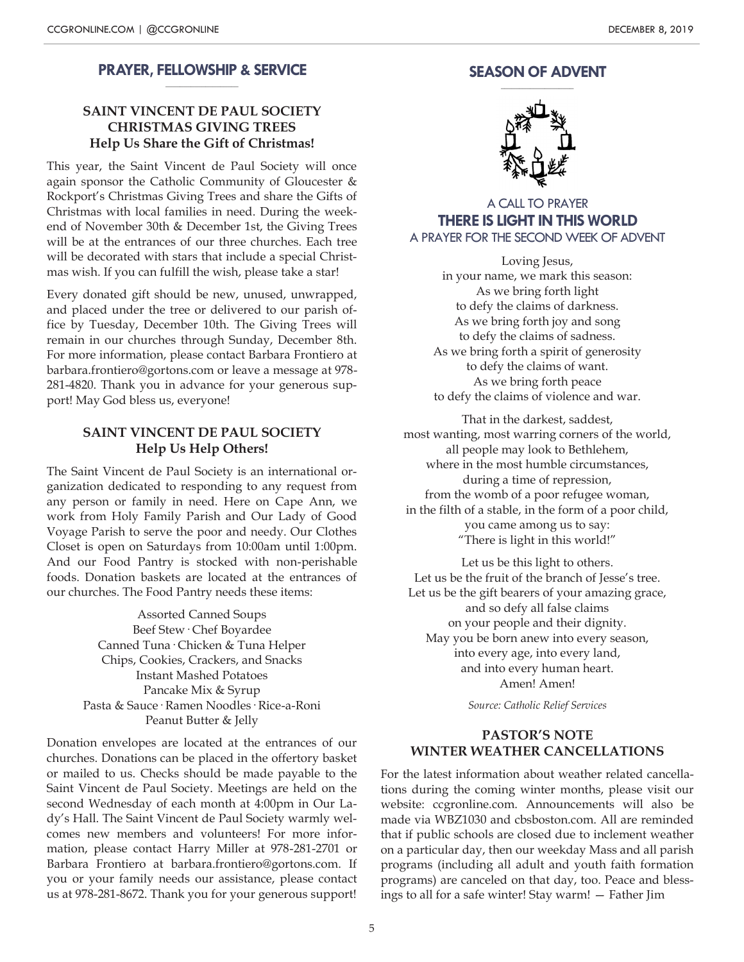#### **PRAYER, FELLOWSHIP & SERVICE \_\_\_\_\_\_\_\_\_\_\_\_\_\_\_\_\_\_\_\_**

### **SAINT VINCENT DE PAUL SOCIETY CHRISTMAS GIVING TREES Help Us Share the Gift of Christmas!**

This year, the Saint Vincent de Paul Society will once again sponsor the Catholic Community of Gloucester & Rockport's Christmas Giving Trees and share the Gifts of Christmas with local families in need. During the weekend of November 30th & December 1st, the Giving Trees will be at the entrances of our three churches. Each tree will be decorated with stars that include a special Christmas wish. If you can fulfill the wish, please take a star!

Every donated gift should be new, unused, unwrapped, and placed under the tree or delivered to our parish office by Tuesday, December 10th. The Giving Trees will remain in our churches through Sunday, December 8th. For more information, please contact Barbara Frontiero at barbara.frontiero@gortons.com or leave a message at 978- 281-4820. Thank you in advance for your generous support! May God bless us, everyone!

### **SAINT VINCENT DE PAUL SOCIETY Help Us Help Others!**

The Saint Vincent de Paul Society is an international organization dedicated to responding to any request from any person or family in need. Here on Cape Ann, we work from Holy Family Parish and Our Lady of Good Voyage Parish to serve the poor and needy. Our Clothes Closet is open on Saturdays from 10:00am until 1:00pm. And our Food Pantry is stocked with non-perishable foods. Donation baskets are located at the entrances of our churches. The Food Pantry needs these items:

> Assorted Canned Soups Beef Stew· Chef Boyardee Canned Tuna· Chicken & Tuna Helper Chips, Cookies, Crackers, and Snacks Instant Mashed Potatoes Pancake Mix & Syrup Pasta & Sauce· Ramen Noodles· Rice-a-Roni Peanut Butter & Jelly

Donation envelopes are located at the entrances of our churches. Donations can be placed in the offertory basket or mailed to us. Checks should be made payable to the Saint Vincent de Paul Society. Meetings are held on the second Wednesday of each month at 4:00pm in Our Lady's Hall. The Saint Vincent de Paul Society warmly welcomes new members and volunteers! For more information, please contact Harry Miller at 978-281-2701 or Barbara Frontiero at barbara.frontiero@gortons.com. If you or your family needs our assistance, please contact us at 978-281-8672. Thank you for your generous support!

#### **SEASON OF ADVENT \_\_\_\_\_\_\_\_\_\_\_\_\_\_\_\_\_\_\_\_**



A CALL TO PRAYER **THERE IS LIGHT IN THIS WORLD** A PRAYER FOR THE SECOND WEEK OF ADVENT

Loving Jesus, in your name, we mark this season: As we bring forth light to defy the claims of darkness. As we bring forth joy and song to defy the claims of sadness. As we bring forth a spirit of generosity to defy the claims of want. As we bring forth peace to defy the claims of violence and war.

That in the darkest, saddest, most wanting, most warring corners of the world, all people may look to Bethlehem, where in the most humble circumstances. during a time of repression, from the womb of a poor refugee woman, in the filth of a stable, in the form of a poor child, you came among us to say: "There is light in this world!"

Let us be this light to others. Let us be the fruit of the branch of Jesse's tree. Let us be the gift bearers of your amazing grace, and so defy all false claims on your people and their dignity. May you be born anew into every season, into every age, into every land, and into every human heart. Amen! Amen!

*Source: Catholic Relief Services*

### **PASTOR'S NOTE WINTER WEATHER CANCELLATIONS**

For the latest information about weather related cancellations during the coming winter months, please visit our website: ccgronline.com. Announcements will also be made via WBZ1030 and cbsboston.com. All are reminded that if public schools are closed due to inclement weather on a particular day, then our weekday Mass and all parish programs (including all adult and youth faith formation programs) are canceled on that day, too. Peace and blessings to all for a safe winter! Stay warm! — Father Jim